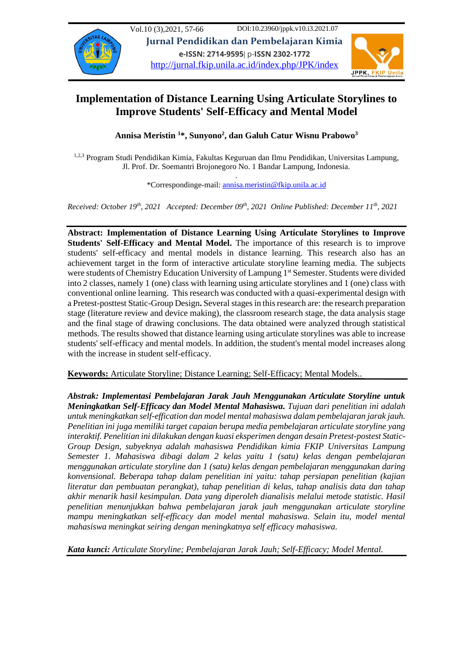

# **Implementation of Distance Learning Using Articulate Storylines to Improve Students' Self-Efficacy and Mental Model**

**Annisa Meristin <sup>1</sup>\*, Sunyono<sup>2</sup> , dan Galuh Catur Wisnu Prabowo<sup>3</sup>**

<sup>1,2,3</sup> Program Studi Pendidikan Kimia, Fakultas Keguruan dan Ilmu Pendidikan, Universitas Lampung, Jl. Prof. Dr. Soemantri Brojonegoro No. 1 Bandar Lampung, Indonesia.

> . \*Correspondinge-mail: [annisa.meristin@fkip.unila.ac.id](mailto:annisa.meristin@fkip.unila.ac.id)

*Received: October 19 th, 2021 Accepted: December 09th, 2021 Online Published: December 11 th, 2021*

**Abstract: Implementation of Distance Learning Using Articulate Storylines to Improve Students' Self-Efficacy and Mental Model.** The importance of this research is to improve students' self-efficacy and mental models in distance learning. This research also has an achievement target in the form of interactive articulate storyline learning media. The subjects were students of Chemistry Education University of Lampung 1<sup>st</sup> Semester. Students were divided into 2 classes, namely 1 (one) class with learning using articulate storylines and 1 (one) class with conventional online learning. This research was conducted with a quasi-experimental design with a Pretest-posttest Static-Group Design**.** Several stages in this research are: the research preparation stage (literature review and device making), the classroom research stage, the data analysis stage and the final stage of drawing conclusions. The data obtained were analyzed through statistical methods. The results showed that distance learning using articulate storylines was able to increase students' self-efficacy and mental models. In addition, the student's mental model increases along with the increase in student self-efficacy.

**Keywords:** Articulate Storyline; Distance Learning; Self-Efficacy; Mental Models..

*Abstrak: Implementasi Pembelajaran Jarak Jauh Menggunakan Articulate Storyline untuk Meningkatkan Self-Efficacy dan Model Mental Mahasiswa. Tujuan dari penelitian ini adalah untuk meningkatkan self-effication dan model mental mahasiswa dalam pembelajaran jarak jauh. Penelitian ini juga memiliki target capaian berupa media pembelajaran articulate storyline yang interaktif. Penelitian ini dilakukan dengan kuasi eksperimen dengan desain Pretest-postest Static-Group Design, subyeknya adalah mahasiswa Pendidikan kimia FKIP Universitas Lampung Semester 1. Mahasiswa dibagi dalam 2 kelas yaitu 1 (satu) kelas dengan pembelajaran menggunakan articulate storyline dan 1 (satu) kelas dengan pembelajaran menggunakan daring konvensional. Beberapa tahap dalam penelitian ini yaitu: tahap persiapan penelitian (kajian literatur dan pembuatan perangkat), tahap penelitian di kelas, tahap analisis data dan tahap akhir menarik hasil kesimpulan. Data yang diperoleh dianalisis melalui metode statistic. Hasil penelitian menunjukkan bahwa pembelajaran jarak jauh menggunakan articulate storyline mampu meningkatkan self-efficacy dan model mental mahasiswa. Selain itu, model mental mahasiswa meningkat seiring dengan meningkatnya self efficacy mahasiswa.*

*Kata kunci: Articulate Storyline; Pembelajaran Jarak Jauh; Self-Efficacy; Model Mental.*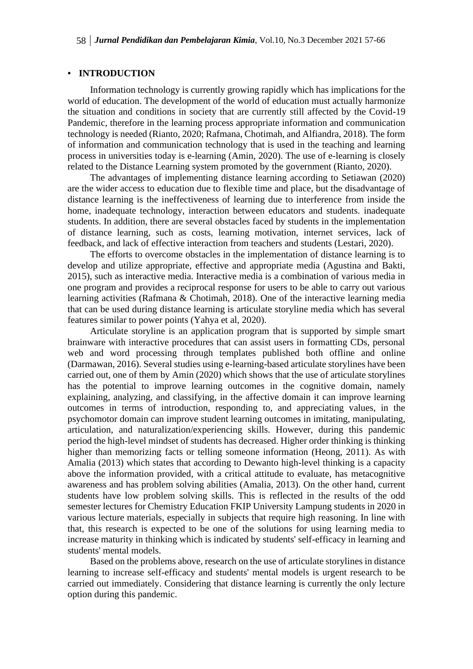## **INTRODUCTION**

Information technology is currently growing rapidly which has implications for the world of education. The development of the world of education must actually harmonize the situation and conditions in society that are currently still affected by the Covid-19 Pandemic, therefore in the learning process appropriate information and communication technology is needed (Rianto, 2020; Rafmana, Chotimah, and Alfiandra, 2018). The form of information and communication technology that is used in the teaching and learning process in universities today is e-learning (Amin, 2020). The use of e-learning is closely related to the Distance Learning system promoted by the government (Rianto, 2020).

The advantages of implementing distance learning according to Setiawan (2020) are the wider access to education due to flexible time and place, but the disadvantage of distance learning is the ineffectiveness of learning due to interference from inside the home, inadequate technology, interaction between educators and students. inadequate students. In addition, there are several obstacles faced by students in the implementation of distance learning, such as costs, learning motivation, internet services, lack of feedback, and lack of effective interaction from teachers and students (Lestari, 2020).

The efforts to overcome obstacles in the implementation of distance learning is to develop and utilize appropriate, effective and appropriate media (Agustina and Bakti, 2015), such as interactive media. Interactive media is a combination of various media in one program and provides a reciprocal response for users to be able to carry out various learning activities (Rafmana & Chotimah, 2018). One of the interactive learning media that can be used during distance learning is articulate storyline media which has several features similar to power points (Yahya et al, 2020).

Articulate storyline is an application program that is supported by simple smart brainware with interactive procedures that can assist users in formatting CDs, personal web and word processing through templates published both offline and online (Darmawan, 2016). Several studies using e-learning-based articulate storylines have been carried out, one of them by Amin (2020) which shows that the use of articulate storylines has the potential to improve learning outcomes in the cognitive domain, namely explaining, analyzing, and classifying, in the affective domain it can improve learning outcomes in terms of introduction, responding to, and appreciating values, in the psychomotor domain can improve student learning outcomes in imitating, manipulating, articulation, and naturalization/experiencing skills. However, during this pandemic period the high-level mindset of students has decreased. Higher order thinking is thinking higher than memorizing facts or telling someone information (Heong, 2011). As with Amalia (2013) which states that according to Dewanto high-level thinking is a capacity above the information provided, with a critical attitude to evaluate, has metacognitive awareness and has problem solving abilities (Amalia, 2013). On the other hand, current students have low problem solving skills. This is reflected in the results of the odd semester lectures for Chemistry Education FKIP University Lampung students in 2020 in various lecture materials, especially in subjects that require high reasoning. In line with that, this research is expected to be one of the solutions for using learning media to increase maturity in thinking which is indicated by students' self-efficacy in learning and students' mental models.

Based on the problems above, research on the use of articulate storylines in distance learning to increase self-efficacy and students' mental models is urgent research to be carried out immediately. Considering that distance learning is currently the only lecture option during this pandemic.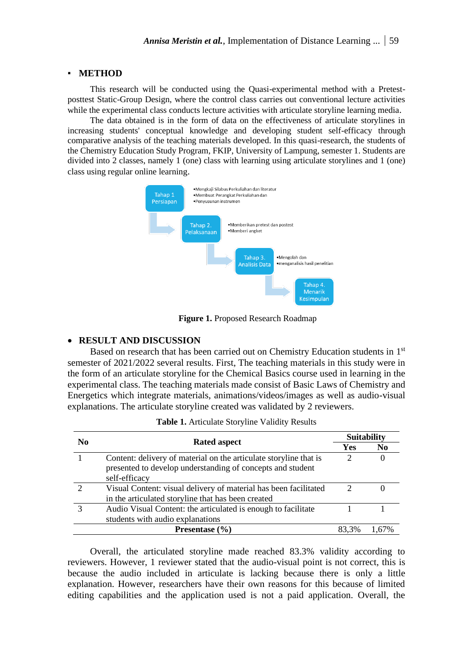## **METHOD**

This research will be conducted using the Quasi-experimental method with a Pretestposttest Static-Group Design, where the control class carries out conventional lecture activities while the experimental class conducts lecture activities with articulate storyline learning media.

The data obtained is in the form of data on the effectiveness of articulate storylines in increasing students' conceptual knowledge and developing student self-efficacy through comparative analysis of the teaching materials developed. In this quasi-research, the students of the Chemistry Education Study Program, FKIP, University of Lampung, semester 1. Students are divided into 2 classes, namely 1 (one) class with learning using articulate storylines and 1 (one) class using regular online learning.



**Figure 1.** Proposed Research Roadmap

## • **RESULT AND DISCUSSION**

Based on research that has been carried out on Chemistry Education students in 1st semester of 2021/2022 several results. First, The teaching materials in this study were in the form of an articulate storyline for the Chemical Basics course used in learning in the experimental class. The teaching materials made consist of Basic Laws of Chemistry and Energetics which integrate materials, animations/videos/images as well as audio-visual explanations. The articulate storyline created was validated by 2 reviewers.

| $\bf N_0$ | <b>Rated aspect</b>                                                                                                                              | <b>Suitability</b>          |                |
|-----------|--------------------------------------------------------------------------------------------------------------------------------------------------|-----------------------------|----------------|
|           |                                                                                                                                                  | <b>Yes</b>                  | N <sub>0</sub> |
|           | Content: delivery of material on the articulate storyline that is<br>presented to develop understanding of concepts and student<br>self-efficacy | $\mathcal{D}_{\mathcal{A}}$ |                |
|           | Visual Content: visual delivery of material has been facilitated<br>in the articulated storyline that has been created                           |                             |                |
|           | Audio Visual Content: the articulated is enough to facilitate<br>students with audio explanations                                                |                             |                |
|           | 83.3%                                                                                                                                            |                             |                |

**Table 1.** Articulate Storyline Validity Results

Overall, the articulated storyline made reached 83.3% validity according to reviewers. However, 1 reviewer stated that the audio-visual point is not correct, this is because the audio included in articulate is lacking because there is only a little explanation. However, researchers have their own reasons for this because of limited editing capabilities and the application used is not a paid application. Overall, the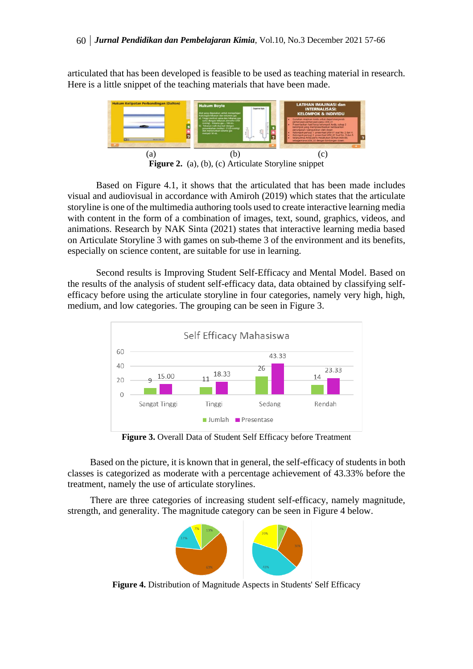articulated that has been developed is feasible to be used as teaching material in research. Here is a little snippet of the teaching materials that have been made.



Based on Figure 4.1, it shows that the articulated that has been made includes visual and audiovisual in accordance with Amiroh (2019) which states that the articulate storyline is one of the multimedia authoring tools used to create interactive learning media with content in the form of a combination of images, text, sound, graphics, videos, and animations. Research by NAK Sinta (2021) states that interactive learning media based on Articulate Storyline 3 with games on sub-theme 3 of the environment and its benefits, especially on science content, are suitable for use in learning.

Second results is Improving Student Self-Efficacy and Mental Model. Based on the results of the analysis of student self-efficacy data, data obtained by classifying selfefficacy before using the articulate storyline in four categories, namely very high, high, medium, and low categories. The grouping can be seen in Figure 3.



**Figure 3.** Overall Data of Student Self Efficacy before Treatment

Based on the picture, it is known that in general, the self-efficacy of students in both classes is categorized as moderate with a percentage achievement of 43.33% before the treatment, namely the use of articulate storylines.

There are three categories of increasing student self-efficacy, namely magnitude, strength, and generality. The magnitude category can be seen in Figure 4 below.



**Figure 4.** Distribution of Magnitude Aspects in Students' Self Efficacy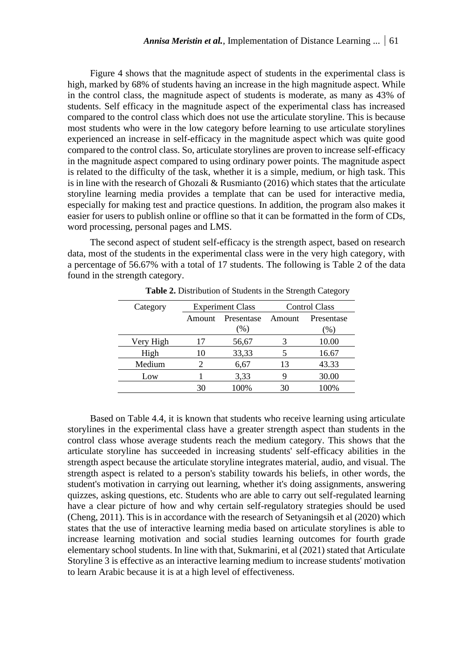Figure 4 shows that the magnitude aspect of students in the experimental class is high, marked by 68% of students having an increase in the high magnitude aspect. While in the control class, the magnitude aspect of students is moderate, as many as 43% of students. Self efficacy in the magnitude aspect of the experimental class has increased compared to the control class which does not use the articulate storyline. This is because most students who were in the low category before learning to use articulate storylines experienced an increase in self-efficacy in the magnitude aspect which was quite good compared to the control class. So, articulate storylines are proven to increase self-efficacy in the magnitude aspect compared to using ordinary power points. The magnitude aspect is related to the difficulty of the task, whether it is a simple, medium, or high task. This is in line with the research of Ghozali  $\&$  Rusmianto (2016) which states that the articulate storyline learning media provides a template that can be used for interactive media, especially for making test and practice questions. In addition, the program also makes it easier for users to publish online or offline so that it can be formatted in the form of CDs, word processing, personal pages and LMS.

The second aspect of student self-efficacy is the strength aspect, based on research data, most of the students in the experimental class were in the very high category, with a percentage of 56.67% with a total of 17 students. The following is Table 2 of the data found in the strength category.

| Category  | <b>Experiment Class</b> |            | <b>Control Class</b> |            |
|-----------|-------------------------|------------|----------------------|------------|
|           | Amount                  | Presentase | Amount               | Presentase |
|           |                         | $(\%)$     |                      | $(\%)$     |
| Very High | 17                      | 56,67      |                      | 10.00      |
| High      | 10                      | 33,33      |                      | 16.67      |
| Medium    |                         | 6,67       | 13                   | 43.33      |
| Low       |                         | 3,33       |                      | 30.00      |
|           | 30                      | 100%       | 30                   | 100%       |

**Table 2.** Distribution of Students in the Strength Category

Based on Table 4.4, it is known that students who receive learning using articulate storylines in the experimental class have a greater strength aspect than students in the control class whose average students reach the medium category. This shows that the articulate storyline has succeeded in increasing students' self-efficacy abilities in the strength aspect because the articulate storyline integrates material, audio, and visual. The strength aspect is related to a person's stability towards his beliefs, in other words, the student's motivation in carrying out learning, whether it's doing assignments, answering quizzes, asking questions, etc. Students who are able to carry out self-regulated learning have a clear picture of how and why certain self-regulatory strategies should be used (Cheng, 2011). This is in accordance with the research of Setyaningsih et al (2020) which states that the use of interactive learning media based on articulate storylines is able to increase learning motivation and social studies learning outcomes for fourth grade elementary school students. In line with that, Sukmarini, et al (2021) stated that Articulate Storyline 3 is effective as an interactive learning medium to increase students' motivation to learn Arabic because it is at a high level of effectiveness.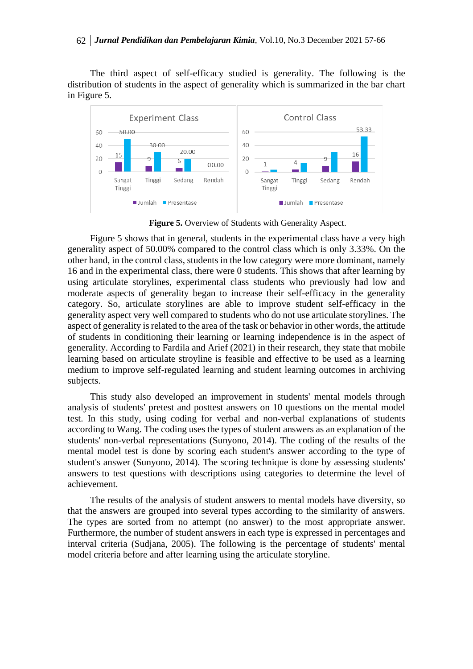The third aspect of self-efficacy studied is generality. The following is the distribution of students in the aspect of generality which is summarized in the bar chart in Figure 5.



**Figure 5.** Overview of Students with Generality Aspect.

Figure 5 shows that in general, students in the experimental class have a very high generality aspect of 50.00% compared to the control class which is only 3.33%. On the other hand, in the control class, students in the low category were more dominant, namely 16 and in the experimental class, there were 0 students. This shows that after learning by using articulate storylines, experimental class students who previously had low and moderate aspects of generality began to increase their self-efficacy in the generality category. So, articulate storylines are able to improve student self-efficacy in the generality aspect very well compared to students who do not use articulate storylines. The aspect of generality is related to the area of the task or behavior in other words, the attitude of students in conditioning their learning or learning independence is in the aspect of generality. According to Fardila and Arief (2021) in their research, they state that mobile learning based on articulate stroyline is feasible and effective to be used as a learning medium to improve self-regulated learning and student learning outcomes in archiving subjects.

This study also developed an improvement in students' mental models through analysis of students' pretest and posttest answers on 10 questions on the mental model test. In this study, using coding for verbal and non-verbal explanations of students according to Wang. The coding uses the types of student answers as an explanation of the students' non-verbal representations (Sunyono, 2014). The coding of the results of the mental model test is done by scoring each student's answer according to the type of student's answer (Sunyono, 2014). The scoring technique is done by assessing students' answers to test questions with descriptions using categories to determine the level of achievement.

The results of the analysis of student answers to mental models have diversity, so that the answers are grouped into several types according to the similarity of answers. The types are sorted from no attempt (no answer) to the most appropriate answer. Furthermore, the number of student answers in each type is expressed in percentages and interval criteria (Sudjana, 2005). The following is the percentage of students' mental model criteria before and after learning using the articulate storyline.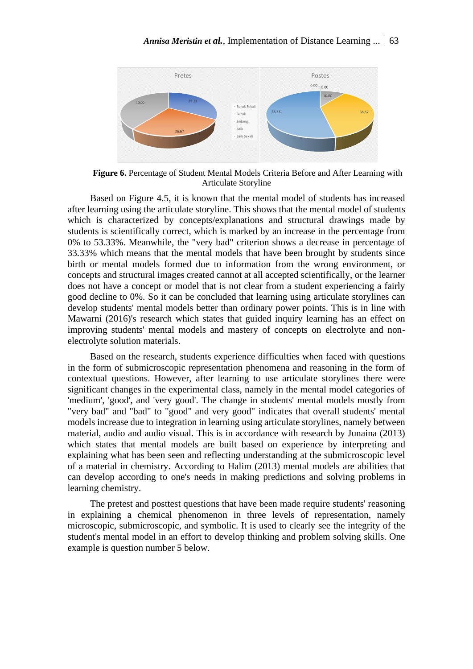

**Figure 6.** Percentage of Student Mental Models Criteria Before and After Learning with Articulate Storyline

Based on Figure 4.5, it is known that the mental model of students has increased after learning using the articulate storyline. This shows that the mental model of students which is characterized by concepts/explanations and structural drawings made by students is scientifically correct, which is marked by an increase in the percentage from 0% to 53.33%. Meanwhile, the "very bad" criterion shows a decrease in percentage of 33.33% which means that the mental models that have been brought by students since birth or mental models formed due to information from the wrong environment, or concepts and structural images created cannot at all accepted scientifically, or the learner does not have a concept or model that is not clear from a student experiencing a fairly good decline to 0%. So it can be concluded that learning using articulate storylines can develop students' mental models better than ordinary power points. This is in line with Mawarni (2016)'s research which states that guided inquiry learning has an effect on improving students' mental models and mastery of concepts on electrolyte and nonelectrolyte solution materials.

Based on the research, students experience difficulties when faced with questions in the form of submicroscopic representation phenomena and reasoning in the form of contextual questions. However, after learning to use articulate storylines there were significant changes in the experimental class, namely in the mental model categories of 'medium', 'good', and 'very good'. The change in students' mental models mostly from "very bad" and "bad" to "good" and very good" indicates that overall students' mental models increase due to integration in learning using articulate storylines, namely between material, audio and audio visual. This is in accordance with research by Junaina (2013) which states that mental models are built based on experience by interpreting and explaining what has been seen and reflecting understanding at the submicroscopic level of a material in chemistry. According to Halim (2013) mental models are abilities that can develop according to one's needs in making predictions and solving problems in learning chemistry.

The pretest and posttest questions that have been made require students' reasoning in explaining a chemical phenomenon in three levels of representation, namely microscopic, submicroscopic, and symbolic. It is used to clearly see the integrity of the student's mental model in an effort to develop thinking and problem solving skills. One example is question number 5 below.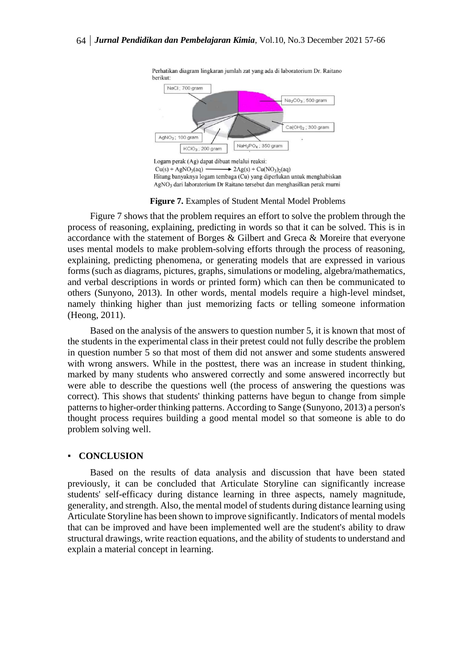

**Figure 7.** Examples of Student Mental Model Problems

Figure 7 shows that the problem requires an effort to solve the problem through the process of reasoning, explaining, predicting in words so that it can be solved. This is in accordance with the statement of Borges & Gilbert and Greca & Moreire that everyone uses mental models to make problem-solving efforts through the process of reasoning, explaining, predicting phenomena, or generating models that are expressed in various forms (such as diagrams, pictures, graphs, simulations or modeling, algebra/mathematics, and verbal descriptions in words or printed form) which can then be communicated to others (Sunyono, 2013). In other words, mental models require a high-level mindset, namely thinking higher than just memorizing facts or telling someone information (Heong, 2011).

Based on the analysis of the answers to question number 5, it is known that most of the students in the experimental class in their pretest could not fully describe the problem in question number 5 so that most of them did not answer and some students answered with wrong answers. While in the posttest, there was an increase in student thinking, marked by many students who answered correctly and some answered incorrectly but were able to describe the questions well (the process of answering the questions was correct). This shows that students' thinking patterns have begun to change from simple patterns to higher-order thinking patterns. According to Sange (Sunyono, 2013) a person's thought process requires building a good mental model so that someone is able to do problem solving well.

### ▪ **CONCLUSION**

Based on the results of data analysis and discussion that have been stated previously, it can be concluded that Articulate Storyline can significantly increase students' self-efficacy during distance learning in three aspects, namely magnitude, generality, and strength. Also, the mental model of students during distance learning using Articulate Storyline has been shown to improve significantly. Indicators of mental models that can be improved and have been implemented well are the student's ability to draw structural drawings, write reaction equations, and the ability of students to understand and explain a material concept in learning.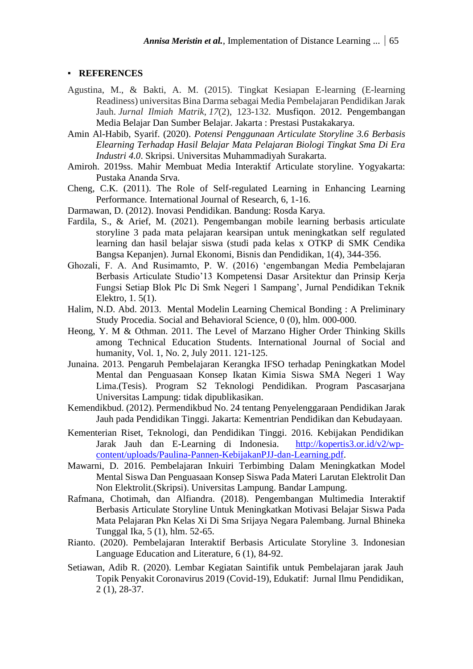## ▪ **REFERENCES**

- Agustina, M., & Bakti, A. M. (2015). Tingkat Kesiapan E-learning (E-learning Readiness) universitas Bina Darma sebagai Media Pembelajaran Pendidikan Jarak Jauh. *Jurnal Ilmiah Matrik*, *17*(2), 123-132. Musfiqon. 2012. Pengembangan Media Belajar Dan Sumber Belajar. Jakarta : Prestasi Pustakakarya.
- Amin Al-Habib, Syarif. (2020). *Potensi Penggunaan Articulate Storyline 3.6 Berbasis Elearning Terhadap Hasil Belajar Mata Pelajaran Biologi Tingkat Sma Di Era Industri 4.0*. Skripsi. Universitas Muhammadiyah Surakarta.
- Amiroh. 2019ss. Mahir Membuat Media Interaktif Articulate storyline. Yogyakarta: Pustaka Ananda Srva.
- Cheng, C.K. (2011). The Role of Self-regulated Learning in Enhancing Learning Performance. International Journal of Research, 6, 1-16.
- Darmawan, D. (2012). Inovasi Pendidikan. Bandung: Rosda Karya.
- Fardila, S., & Arief, M. (2021). Pengembangan mobile learning berbasis articulate storyline 3 pada mata pelajaran kearsipan untuk meningkatkan self regulated learning dan hasil belajar siswa (studi pada kelas x OTKP di SMK Cendika Bangsa Kepanjen). Jurnal Ekonomi, Bisnis dan Pendidikan, 1(4), 344-356.
- Ghozali, F. A. And Rusimamto, P. W. (2016) 'engembangan Media Pembelajaran Berbasis Articulate Studio'13 Kompetensi Dasar Arsitektur dan Prinsip Kerja Fungsi Setiap Blok Plc Di Smk Negeri 1 Sampang', Jurnal Pendidikan Teknik Elektro, 1. 5(1).
- Halim, N.D. Abd. 2013. Mental Modelin Learning Chemical Bonding : A Preliminary Study Procedia. Social and Behavioral Science, 0 (0), hlm. 000-000.
- Heong, Y. M & Othman. 2011. The Level of Marzano Higher Order Thinking Skills among Technical Education Students. International Journal of Social and humanity, Vol. 1, No. 2, July 2011. 121-125.
- Junaina. 2013. Pengaruh Pembelajaran Kerangka IFSO terhadap Peningkatkan Model Mental dan Penguasaan Konsep Ikatan Kimia Siswa SMA Negeri 1 Way Lima.(Tesis). Program S2 Teknologi Pendidikan. Program Pascasarjana Universitas Lampung: tidak dipublikasikan.
- Kemendikbud. (2012). Permendikbud No. 24 tentang Penyelenggaraan Pendidikan Jarak Jauh pada Pendidikan Tinggi. Jakarta: Kementrian Pendidikan dan Kebudayaan.
- Kementerian Riset, Teknologi, dan Pendidikan Tinggi. 2016. Kebijakan Pendidikan Jarak Jauh dan E-Learning di Indonesia. [http://kopertis3.or.id/v2/wp](http://kopertis3.or.id/v2/wp-content/uploads/Paulina-Pannen-KebijakanPJJ-dan-Learning.pdf)[content/uploads/Paulina-Pannen-KebijakanPJJ-dan-Learning.pdf.](http://kopertis3.or.id/v2/wp-content/uploads/Paulina-Pannen-KebijakanPJJ-dan-Learning.pdf)
- Mawarni, D. 2016. Pembelajaran Inkuiri Terbimbing Dalam Meningkatkan Model Mental Siswa Dan Penguasaan Konsep Siswa Pada Materi Larutan Elektrolit Dan Non Elektrolit.(Skripsi). Universitas Lampung. Bandar Lampung.
- Rafmana, Chotimah, dan Alfiandra. (2018). Pengembangan Multimedia Interaktif Berbasis Articulate Storyline Untuk Meningkatkan Motivasi Belajar Siswa Pada Mata Pelajaran Pkn Kelas Xi Di Sma Srijaya Negara Palembang. Jurnal Bhineka Tunggal Ika, 5 (1), hlm. 52-65.
- Rianto. (2020). Pembelajaran Interaktif Berbasis Articulate Storyline 3. Indonesian Language Education and Literature, 6 (1), 84-92.
- Setiawan, Adib R. (2020). Lembar Kegiatan Saintifik untuk Pembelajaran jarak Jauh Topik Penyakit Coronavirus 2019 (Covid-19), Edukatif: Jurnal Ilmu Pendidikan, 2 (1), 28-37.